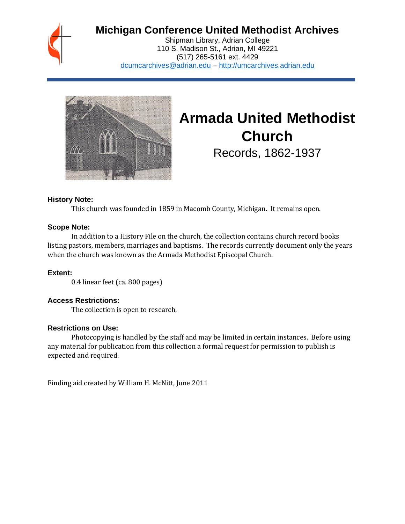

# **Michigan Conference United Methodist Archives**

Shipman Library, Adrian College 110 S. Madison St., Adrian, MI 49221 (517) 265-5161 ext. 4429 [dcumcarchives@adrian.edu](mailto:dcumcarchives@adrian.edu) – [http://umcarchives.adrian.edu](http://umcarchives.adrian.edu/)



# **Armada United Methodist Church**

Records, 1862-1937

#### **History Note:**

This church was founded in 1859 in Macomb County, Michigan. It remains open.

## **Scope Note:**

In addition to a History File on the church, the collection contains church record books listing pastors, members, marriages and baptisms. The records currently document only the years when the church was known as the Armada Methodist Episcopal Church.

# **Extent:**

0.4 linear feet (ca. 800 pages)

#### **Access Restrictions:**

The collection is open to research.

#### **Restrictions on Use:**

Photocopying is handled by the staff and may be limited in certain instances. Before using any material for publication from this collection a formal request for permission to publish is expected and required.

Finding aid created by William H. McNitt, June 2011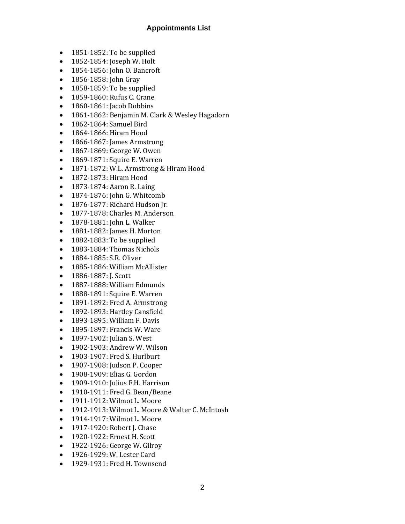#### **Appointments List**

- 1851-1852: To be supplied
- 1852-1854: Joseph W. Holt
- 1854-1856: John O. Bancroft
- 1856-1858: John Gray
- 1858-1859: To be supplied
- 1859-1860: Rufus C. Crane
- 1860-1861: Jacob Dobbins
- 1861-1862: Benjamin M. Clark & Wesley Hagadorn
- 1862-1864: Samuel Bird
- 1864-1866: Hiram Hood
- 1866-1867: James Armstrong
- 1867-1869: George W. Owen
- 1869-1871: Squire E. Warren
- 1871-1872: W.L. Armstrong & Hiram Hood
- 1872-1873: Hiram Hood
- 1873-1874: Aaron R. Laing
- 1874-1876: John G. Whitcomb
- 1876-1877: Richard Hudson Jr.
- 1877-1878: Charles M. Anderson
- 1878-1881: John L. Walker
- 1881-1882: James H. Morton
- 1882-1883: To be supplied
- 1883-1884: Thomas Nichols
- 1884-1885: S.R. Oliver
- 1885-1886: William McAllister
- 1886-1887: J. Scott
- 1887-1888: William Edmunds
- 1888-1891: Squire E. Warren
- 1891-1892: Fred A. Armstrong
- 1892-1893: Hartley Cansfield
- 1893-1895: William F. Davis
- 1895-1897: Francis W. Ware
- 1897-1902: Julian S. West
- 1902-1903: Andrew W. Wilson
- 1903-1907: Fred S. Hurlburt
- 1907-1908: Judson P. Cooper
- 1908-1909: Elias G. Gordon
- 1909-1910: Julius F.H. Harrison
- 1910-1911: Fred G. Bean/Beane
- 1911-1912: Wilmot L. Moore
- 1912-1913: Wilmot L. Moore & Walter C. McIntosh
- 1914-1917: Wilmot L. Moore
- 1917-1920: Robert I. Chase
- 1920-1922: Ernest H. Scott
- 1922-1926: George W. Gilroy
- 1926-1929: W. Lester Card
- 1929-1931: Fred H. Townsend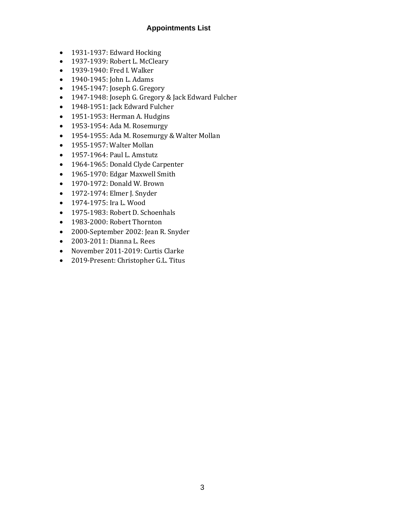# **Appointments List**

- 1931-1937: Edward Hocking
- 1937-1939: Robert L. McCleary
- 1939-1940: Fred I. Walker
- 1940-1945: John L. Adams
- 1945-1947: Joseph G. Gregory
- 1947-1948: Joseph G. Gregory & Jack Edward Fulcher
- 1948-1951: Jack Edward Fulcher
- 1951-1953: Herman A. Hudgins
- 1953-1954: Ada M. Rosemurgy
- 1954-1955: Ada M. Rosemurgy & Walter Mollan
- 1955-1957: Walter Mollan
- 1957-1964: Paul L. Amstutz
- 1964-1965: Donald Clyde Carpenter
- 1965-1970: Edgar Maxwell Smith
- 1970-1972: Donald W. Brown
- 1972-1974: Elmer J. Snyder
- 1974-1975: Ira L. Wood
- 1975-1983: Robert D. Schoenhals
- 1983-2000: Robert Thornton
- 2000-September 2002: Jean R. Snyder
- 2003-2011: Dianna L. Rees
- November 2011-2019: Curtis Clarke
- 2019-Present: Christopher G.L. Titus